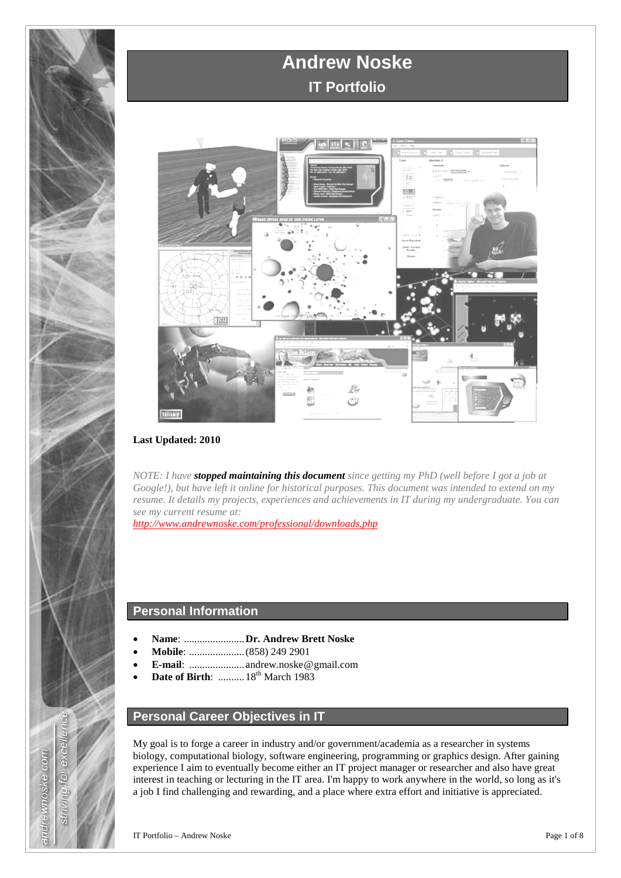



#### **Last Updated: 2010**

*NOTE: I have stopped maintaining this document since getting my PhD (well before I got a job at Google!), but have left it online for historical purposes. This document was intended to extend on my resume. It details my projects, experiences and achievements in IT during my undergraduate. You can see my current resume at:*

*<http://www.andrewnoske.com/professional/downloads.php>*

## **Personal Information**

- **Name**: .......................**Dr. Andrew Brett Noske**
- **Mobile**: .....................(858) 249 2901
- **E-mail**: ..................... andrew.noske**|**@**|**gmail.com
- **Date of Birth:** ........... 18<sup>th</sup> March 1983

# **Personal Career Objectives in IT**

My goal is to forge a career in industry and/or government/academia as a researcher in systems biology, computational biology, software engineering, programming or graphics design. After gaining experience I aim to eventually become either an IT project manager or researcher and also have great interest in teaching or lecturing in the IT area. I'm happy to work anywhere in the world, so long as it's a job I find challenging and rewarding, and a place where extra effort and initiative is appreciated.

exce.

 $\overline{\circ}$ 

**Strivill** 

andrewnoske.com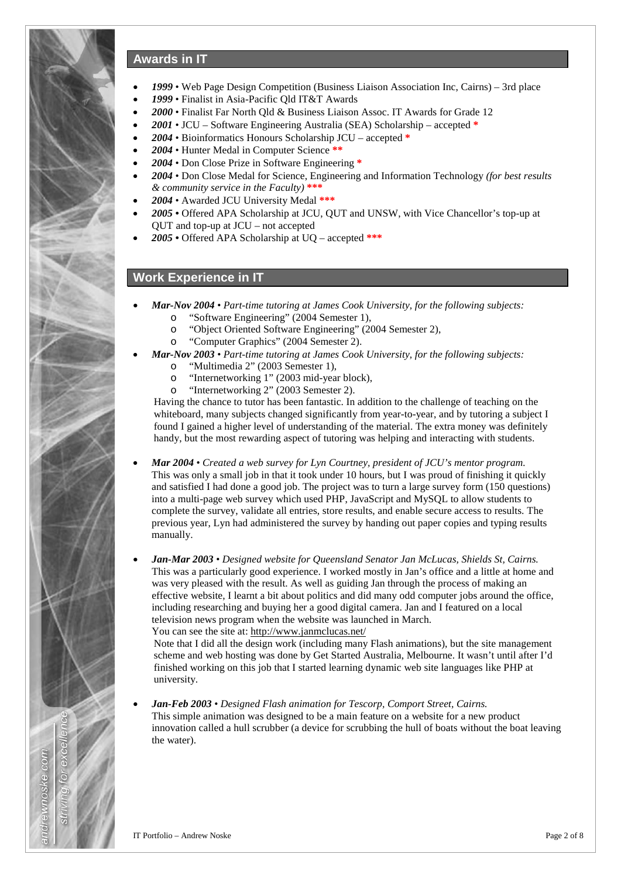

## **Awards in IT**

- *1999* Web Page Design Competition (Business Liaison Association Inc, Cairns) 3rd place
- *1999* Finalist in Asia-Pacific Qld IT&T Awards
- *2000* Finalist Far North Qld & Business Liaison Assoc. IT Awards for Grade 12
- *2001* JCU Software Engineering Australia (SEA) Scholarship accepted **\***
- *2004* Bioinformatics Honours Scholarship JCU accepted **\***
- *2004* Hunter Medal in Computer Science **\*\***
- *2004* Don Close Prize in Software Engineering **\***
- *2004* Don Close Medal for Science, Engineering and Information Technology *(for best results & community service in the Faculty)* **\*\*\***
- *2004* Awarded JCU University Medal **\*\*\***
- *2005* Offered APA Scholarship at JCU, QUT and UNSW, with Vice Chancellor's top-up at QUT and top-up at JCU – not accepted
- *2005* Offered APA Scholarship at UQ accepted **\*\*\***

## **Work Experience in IT**

- *Mar-Nov 2004 Part-time tutoring at James Cook University, for the following subjects:* 
	- o "Software Engineering" (2004 Semester 1),
	- o "Object Oriented Software Engineering" (2004 Semester 2),
	- o "Computer Graphics" (2004 Semester 2).
- *Mar-Nov 2003 Part-time tutoring at James Cook University, for the following subjects:*
	- o "Multimedia 2" (2003 Semester 1),
	- o "Internetworking 1" (2003 mid-year block),
	- "Internetworking 2" (2003 Semester 2).

Having the chance to tutor has been fantastic. In addition to the challenge of teaching on the whiteboard, many subjects changed significantly from year-to-year, and by tutoring a subject I found I gained a higher level of understanding of the material. The extra money was definitely handy, but the most rewarding aspect of tutoring was helping and interacting with students.

- *Mar 2004 Created a web survey for Lyn Courtney, president of JCU's mentor program.* This was only a small job in that it took under 10 hours, but I was proud of finishing it quickly and satisfied I had done a good job. The project was to turn a large survey form (150 questions) into a multi-page web survey which used PHP, JavaScript and MySQL to allow students to complete the survey, validate all entries, store results, and enable secure access to results. The previous year, Lyn had administered the survey by handing out paper copies and typing results manually.
- *Jan-Mar 2003 Designed website for Queensland Senator Jan McLucas, Shields St, Cairns.* This was a particularly good experience. I worked mostly in Jan's office and a little at home and was very pleased with the result. As well as guiding Jan through the process of making an effective website, I learnt a bit about politics and did many odd computer jobs around the office, including researching and buying her a good digital camera. Jan and I featured on a local television news program when the website was launched in March. You can see the site at: http://www.janmclucas.net/

Note that I did all the design work (including many Flash animations), but the site management scheme and web hosting was done by Get Started Australia, Melbourne. It wasn't until after I'd finished working on this job that I started learning dynamic web site languages like PHP at university.

• *Jan-Feb 2003* • *Designed Flash animation for Tescorp, Comport Street, Cairns.* This simple animation was designed to be a main feature on a website for a new product innovation called a hull scrubber (a device for scrubbing the hull of boats without the boat leaving the water).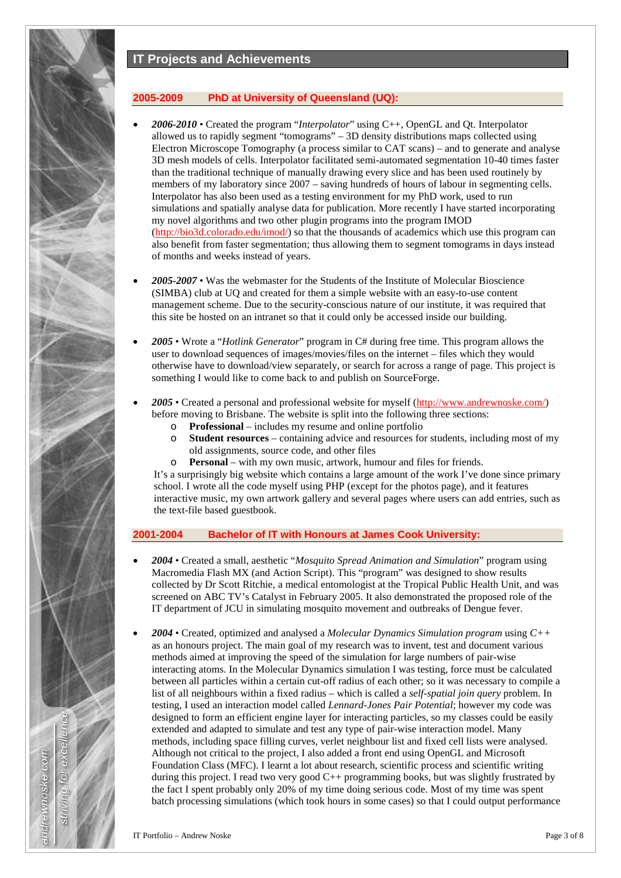## **IT Projects and Achievements**

#### **2005-2009 PhD at University of Queensland (UQ):**

- *2006-2010* Created the program "*Interpolator*" using C++, OpenGL and Qt. Interpolator allowed us to rapidly segment "tomograms" – 3D density distributions maps collected using Electron Microscope Tomography (a process similar to CAT scans) – and to generate and analyse 3D mesh models of cells. Interpolator facilitated semi-automated segmentation 10-40 times faster than the traditional technique of manually drawing every slice and has been used routinely by members of my laboratory since 2007 – saving hundreds of hours of labour in segmenting cells. Interpolator has also been used as a testing environment for my PhD work, used to run simulations and spatially analyse data for publication. More recently I have started incorporating my novel algorithms and two other plugin programs into the program IMOD [\(http://bio3d.colorado.edu/imod/\)](http://bio3d.colorado.edu/imod/) so that the thousands of academics which use this program can also benefit from faster segmentation; thus allowing them to segment tomograms in days instead of months and weeks instead of years.
- *2005-2007* Was the webmaster for the Students of the Institute of Molecular Bioscience (SIMBA) club at UQ and created for them a simple website with an easy-to-use content management scheme. Due to the security-conscious nature of our institute, it was required that this site be hosted on an intranet so that it could only be accessed inside our building.
- *2005* Wrote a "*Hotlink Generator*" program in C# during free time. This program allows the user to download sequences of images/movies/files on the internet – files which they would otherwise have to download/view separately, or search for across a range of page. This project is something I would like to come back to and publish on SourceForge.
- *2005* Created a personal and professional website for myself [\(http://www.andrewnoske.com/\)](http://www.andrewnoske.com/) before moving to Brisbane. The website is split into the following three sections:
	- o **Professional** includes my resume and online portfolio
	- **Student resources** containing advice and resources for students, including most of my old assignments, source code, and other files
	- o **Personal** with my own music, artwork, humour and files for friends.

It's a surprisingly big website which contains a large amount of the work I've done since primary school. I wrote all the code myself using PHP (except for the photos page), and it features interactive music, my own artwork gallery and several pages where users can add entries, such as the text-file based guestbook.

#### **2001-2004 Bachelor of IT with Honours at James Cook University:**

- *2004* Created a small, aesthetic "*Mosquito Spread Animation and Simulation*" program using Macromedia Flash MX (and Action Script). This "program" was designed to show results collected by Dr Scott Ritchie, a medical entomologist at the Tropical Public Health Unit, and was screened on ABC TV's Catalyst in February 2005. It also demonstrated the proposed role of the IT department of JCU in simulating mosquito movement and outbreaks of Dengue fever.
- *2004* Created, optimized and analysed a *Molecular Dynamics Simulation program* using *C++*  as an honours project. The main goal of my research was to invent, test and document various methods aimed at improving the speed of the simulation for large numbers of pair-wise interacting atoms. In the Molecular Dynamics simulation I was testing, force must be calculated between all particles within a certain cut-off radius of each other; so it was necessary to compile a list of all neighbours within a fixed radius – which is called a *self-spatial join query* problem. In testing, I used an interaction model called *Lennard-Jones Pair Potential*; however my code was designed to form an efficient engine layer for interacting particles, so my classes could be easily extended and adapted to simulate and test any type of pair-wise interaction model. Many methods, including space filling curves, verlet neighbour list and fixed cell lists were analysed. Although not critical to the project, I also added a front end using OpenGL and Microsoft Foundation Class (MFC). I learnt a lot about research, scientific process and scientific writing during this project. I read two very good C++ programming books, but was slightly frustrated by the fact I spent probably only 20% of my time doing serious code. Most of my time was spent batch processing simulations (which took hours in some cases) so that I could output performance

andrewnoske.com

 $\overline{\circ}$ 

**Strivill**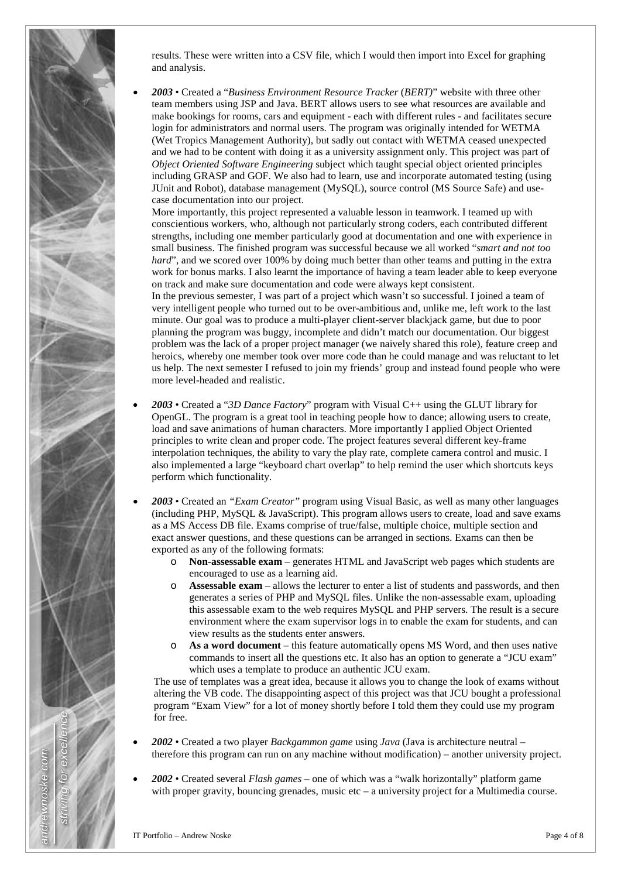

results. These were written into a CSV file, which I would then import into Excel for graphing and analysis.

• *2003* • Created a "*Business Environment Resource Tracker* (*BERT)*" website with three other team members using JSP and Java. BERT allows users to see what resources are available and make bookings for rooms, cars and equipment - each with different rules - and facilitates secure login for administrators and normal users. The program was originally intended for WETMA (Wet Tropics Management Authority), but sadly out contact with WETMA ceased unexpected and we had to be content with doing it as a university assignment only. This project was part of *Object Oriented Software Engineering* subject which taught special object oriented principles including GRASP and GOF. We also had to learn, use and incorporate automated testing (using JUnit and Robot), database management (MySQL), source control (MS Source Safe) and usecase documentation into our project.

More importantly, this project represented a valuable lesson in teamwork. I teamed up with conscientious workers, who, although not particularly strong coders, each contributed different strengths, including one member particularly good at documentation and one with experience in small business. The finished program was successful because we all worked "*smart and not too hard*", and we scored over 100% by doing much better than other teams and putting in the extra work for bonus marks. I also learnt the importance of having a team leader able to keep everyone on track and make sure documentation and code were always kept consistent.

In the previous semester, I was part of a project which wasn't so successful. I joined a team of very intelligent people who turned out to be over-ambitious and, unlike me, left work to the last minute. Our goal was to produce a multi-player client-server blackjack game, but due to poor planning the program was buggy, incomplete and didn't match our documentation. Our biggest problem was the lack of a proper project manager (we naively shared this role), feature creep and heroics, whereby one member took over more code than he could manage and was reluctant to let us help. The next semester I refused to join my friends' group and instead found people who were more level-headed and realistic.

- *2003* Created a "*3D Dance Factory*" program with Visual C++ using the GLUT library for OpenGL. The program is a great tool in teaching people how to dance; allowing users to create, load and save animations of human characters. More importantly I applied Object Oriented principles to write clean and proper code. The project features several different key-frame interpolation techniques, the ability to vary the play rate, complete camera control and music. I also implemented a large "keyboard chart overlap" to help remind the user which shortcuts keys perform which functionality.
- *2003* Created an *"Exam Creator"* program using Visual Basic, as well as many other languages (including PHP, MySQL & JavaScript). This program allows users to create, load and save exams as a MS Access DB file. Exams comprise of true/false, multiple choice, multiple section and exact answer questions, and these questions can be arranged in sections. Exams can then be exported as any of the following formats:
	- o **Non-assessable exam**  generates HTML and JavaScript web pages which students are encouraged to use as a learning aid.
	- o **Assessable exam**  allows the lecturer to enter a list of students and passwords, and then generates a series of PHP and MySQL files. Unlike the non-assessable exam, uploading this assessable exam to the web requires MySQL and PHP servers. The result is a secure environment where the exam supervisor logs in to enable the exam for students, and can view results as the students enter answers.
	- o **As a word document**  this feature automatically opens MS Word, and then uses native commands to insert all the questions etc. It also has an option to generate a "JCU exam" which uses a template to produce an authentic JCU exam.

The use of templates was a great idea, because it allows you to change the look of exams without altering the VB code. The disappointing aspect of this project was that JCU bought a professional program "Exam View" for a lot of money shortly before I told them they could use my program for free.

- *2002* Created a two player *Backgammon game* using *Java* (Java is architecture neutral therefore this program can run on any machine without modification) – another university project.
- *2002* Created several *Flash games* one of which was a "walk horizontally" platform game with proper gravity, bouncing grenades, music etc  $-$  a university project for a Multimedia course.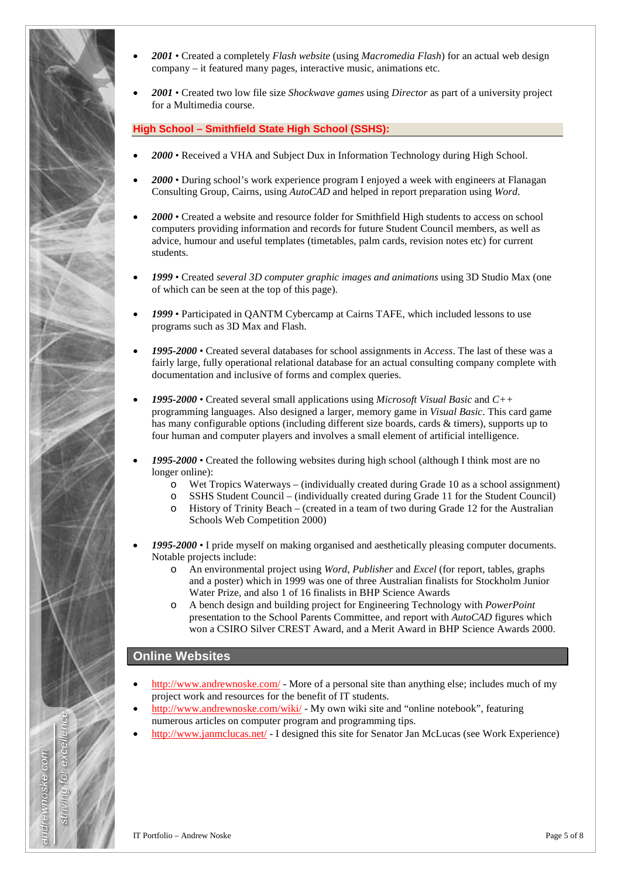

- *2001* Created a completely *Flash website* (using *Macromedia Flash*) for an actual web design company – it featured many pages, interactive music, animations etc.
- *2001* Created two low file size *Shockwave games* using *Director* as part of a university project for a Multimedia course.

**High School – Smithfield State High School (SSHS):**

- *2000* Received a VHA and Subject Dux in Information Technology during High School.
- *2000* During school's work experience program I enjoyed a week with engineers at Flanagan Consulting Group, Cairns, using *AutoCAD* and helped in report preparation using *Word*.
- *2000* Created a website and resource folder for Smithfield High students to access on school computers providing information and records for future Student Council members, as well as advice, humour and useful templates (timetables, palm cards, revision notes etc) for current students.
- *1999* Created *several 3D computer graphic images and animations* using 3D Studio Max (one of which can be seen at the top of this page).
- *1999* Participated in QANTM Cybercamp at Cairns TAFE, which included lessons to use programs such as 3D Max and Flash.
- *1995-2000* Created several databases for school assignments in *Access*. The last of these was a fairly large, fully operational relational database for an actual consulting company complete with documentation and inclusive of forms and complex queries.
- *1995-2000* Created several small applications using *Microsoft Visual Basic* and *C++* programming languages. Also designed a larger, memory game in *Visual Basic*. This card game has many configurable options (including different size boards, cards & timers), supports up to four human and computer players and involves a small element of artificial intelligence.
- *1995-2000* Created the following websites during high school (although I think most are no longer online):
	- $\circ$  Wet Tropics Waterways (individually created during Grade 10 as a school assignment)<br>  $\circ$  SSHS Student Council (individually created during Grade 11 for the Student Council)
	- SSHS Student Council (individually created during Grade 11 for the Student Council)
	- o History of Trinity Beach (created in a team of two during Grade 12 for the Australian Schools Web Competition 2000)
- *1995-2000* I pride myself on making organised and aesthetically pleasing computer documents. Notable projects include:
	- o An environmental project using *Word*, *Publisher* and *Excel* (for report, tables, graphs and a poster) which in 1999 was one of three Australian finalists for Stockholm Junior Water Prize, and also 1 of 16 finalists in BHP Science Awards
	- o A bench design and building project for Engineering Technology with *PowerPoint* presentation to the School Parents Committee, and report with *AutoCAD* figures which won a CSIRO Silver CREST Award, and a Merit Award in BHP Science Awards 2000.

### **Online Websites**

- <http://www.andrewnoske.com/> More of a personal site than anything else; includes much of my project work and resources for the benefit of IT students.
- <http://www.andrewnoske.com/wiki/> My own wiki site and "online notebook", featuring numerous articles on computer program and programming tips.
- <http://www.janmclucas.net/> I designed this site for Senator Jan McLucas (see Work Experience)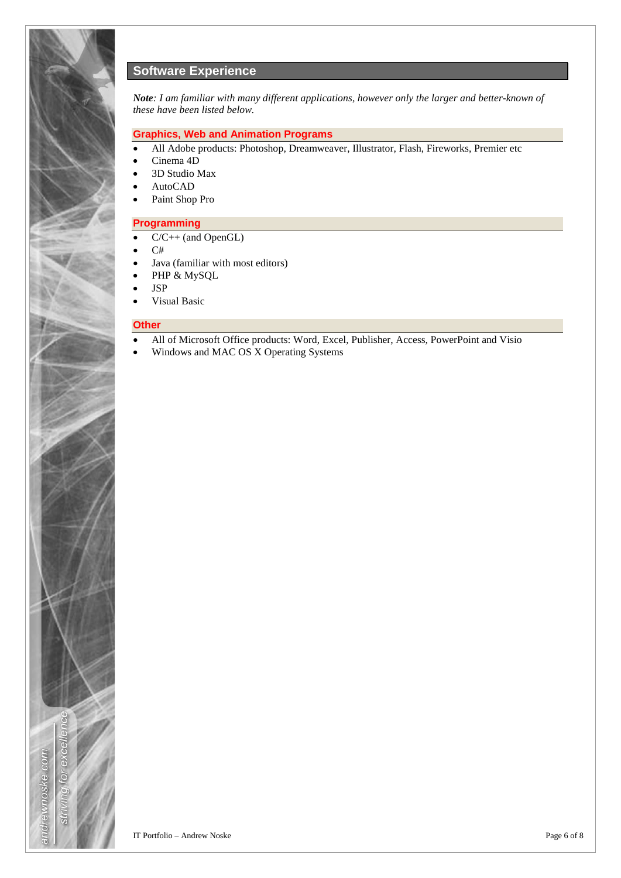

# **Software Experience**

*Note: I am familiar with many different applications, however only the larger and better-known of these have been listed below.*

#### **Graphics, Web and Animation Programs**

- All Adobe products: Photoshop, Dreamweaver, Illustrator, Flash, Fireworks, Premier etc
- Cinema 4D
- 3D Studio Max
- AutoCAD
- Paint Shop Pro

#### **Programming**

- C/C++ (and OpenGL)
- C#
- Java (familiar with most editors)
- PHP & MySQL
- JSP
- Visual Basic

#### **Other**

- All of Microsoft Office products: Word, Excel, Publisher, Access, PowerPoint and Visio
- Windows and MAC OS X Operating Systems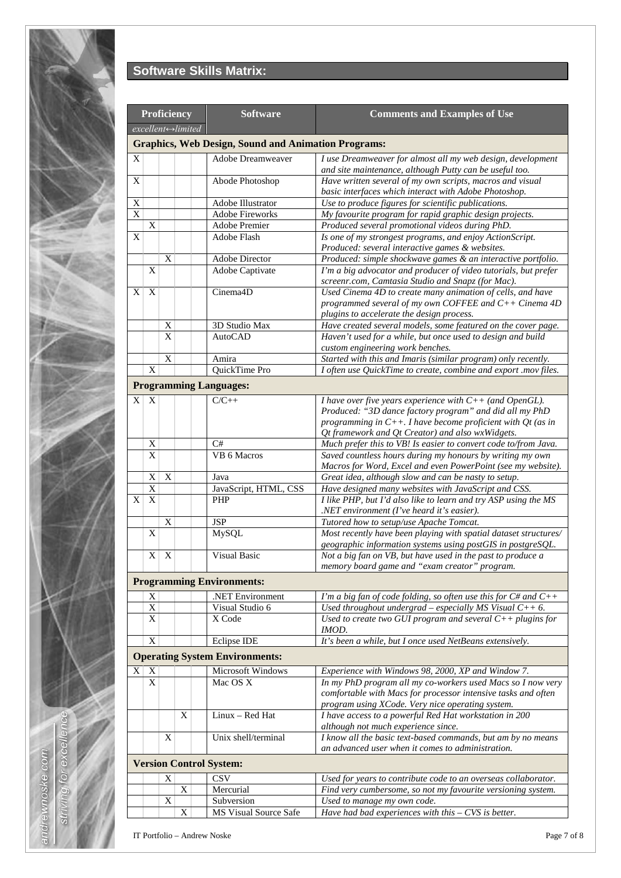

# **Software Skills Matrix:**

| Proficiency<br>excellent⇔limited |                                                            |             |   | <b>Software</b>                             | <b>Comments and Examples of Use</b>                                                                                          |  |  |  |  |  |
|----------------------------------|------------------------------------------------------------|-------------|---|---------------------------------------------|------------------------------------------------------------------------------------------------------------------------------|--|--|--|--|--|
|                                  | <b>Graphics, Web Design, Sound and Animation Programs:</b> |             |   |                                             |                                                                                                                              |  |  |  |  |  |
| Χ                                |                                                            |             |   | <b>Adobe Dreamweaver</b>                    | I use Dreamweaver for almost all my web design, development                                                                  |  |  |  |  |  |
|                                  |                                                            |             |   |                                             | and site maintenance, although Putty can be useful too.                                                                      |  |  |  |  |  |
| X                                |                                                            |             |   | Abode Photoshop                             | Have written several of my own scripts, macros and visual                                                                    |  |  |  |  |  |
|                                  |                                                            |             |   |                                             | basic interfaces which interact with Adobe Photoshop.                                                                        |  |  |  |  |  |
| X<br>X                           |                                                            |             |   | Adobe Illustrator<br><b>Adobe Fireworks</b> | Use to produce figures for scientific publications.<br>My favourite program for rapid graphic design projects.               |  |  |  |  |  |
|                                  | X                                                          |             |   | Adobe Premier                               | Produced several promotional videos during PhD.                                                                              |  |  |  |  |  |
| X                                |                                                            |             |   | Adobe Flash                                 | Is one of my strongest programs, and enjoy ActionScript.                                                                     |  |  |  |  |  |
|                                  |                                                            |             |   |                                             | Produced: several interactive games & websites.                                                                              |  |  |  |  |  |
|                                  |                                                            | X           |   | Adobe Director                              | Produced: simple shockwave games & an interactive portfolio.                                                                 |  |  |  |  |  |
|                                  | X                                                          |             |   | Adobe Captivate                             | I'm a big advocator and producer of video tutorials, but prefer<br>screenr.com, Camtasia Studio and Snapz (for Mac).         |  |  |  |  |  |
| X                                | X                                                          |             |   | Cinema4D                                    | Used Cinema 4D to create many animation of cells, and have                                                                   |  |  |  |  |  |
|                                  |                                                            |             |   |                                             | programmed several of my own COFFEE and $C++$ Cinema 4D                                                                      |  |  |  |  |  |
|                                  |                                                            |             |   |                                             | plugins to accelerate the design process.                                                                                    |  |  |  |  |  |
|                                  |                                                            | Χ           |   | 3D Studio Max                               | Have created several models, some featured on the cover page.                                                                |  |  |  |  |  |
|                                  |                                                            | X           |   | <b>AutoCAD</b>                              | Haven't used for a while, but once used to design and build<br>custom engineering work benches.                              |  |  |  |  |  |
|                                  |                                                            | X           |   | Amira                                       | Started with this and Imaris (similar program) only recently.                                                                |  |  |  |  |  |
|                                  | X                                                          |             |   | QuickTime Pro                               | I often use QuickTime to create, combine and export .mov files.                                                              |  |  |  |  |  |
|                                  |                                                            |             |   | <b>Programming Languages:</b>               |                                                                                                                              |  |  |  |  |  |
| X                                | X                                                          |             |   | $C/C++$                                     | I have over five years experience with $C++$ (and OpenGL).                                                                   |  |  |  |  |  |
|                                  |                                                            |             |   |                                             | Produced: "3D dance factory program" and did all my PhD                                                                      |  |  |  |  |  |
|                                  |                                                            |             |   |                                             | programming in $C++$ . I have become proficient with Qt (as in                                                               |  |  |  |  |  |
|                                  |                                                            |             |   |                                             | Qt framework and Qt Creator) and also wxWidgets.                                                                             |  |  |  |  |  |
|                                  | X                                                          |             |   | C#                                          | Much prefer this to VB! Is easier to convert code to/from Java.                                                              |  |  |  |  |  |
|                                  | X                                                          |             |   | VB 6 Macros                                 | Saved countless hours during my honours by writing my own                                                                    |  |  |  |  |  |
|                                  | X                                                          | $\mathbf X$ |   | Java                                        | Macros for Word, Excel and even PowerPoint (see my website).<br>Great idea, although slow and can be nasty to setup.         |  |  |  |  |  |
|                                  | X                                                          |             |   | JavaScript, HTML, CSS                       | Have designed many websites with JavaScript and CSS.                                                                         |  |  |  |  |  |
| X                                | X                                                          |             |   | PHP                                         | I like PHP, but I'd also like to learn and try ASP using the MS                                                              |  |  |  |  |  |
|                                  |                                                            |             |   |                                             | .NET environment (I've heard it's easier).                                                                                   |  |  |  |  |  |
|                                  |                                                            | X           |   | JSP                                         | Tutored how to setup/use Apache Tomcat.                                                                                      |  |  |  |  |  |
|                                  | X                                                          |             |   | <b>MySQL</b>                                | Most recently have been playing with spatial dataset structures/                                                             |  |  |  |  |  |
|                                  | X                                                          | X           |   | Visual Basic                                | geographic information systems using postGIS in postgreSQL.<br>Not a big fan on VB, but have used in the past to produce a   |  |  |  |  |  |
|                                  |                                                            |             |   |                                             | memory board game and "exam creator" program.                                                                                |  |  |  |  |  |
|                                  | <b>Programming Environments:</b>                           |             |   |                                             |                                                                                                                              |  |  |  |  |  |
|                                  | X                                                          |             |   | .NET Environment                            | I'm a big fan of code folding, so often use this for $C#$ and $C++$                                                          |  |  |  |  |  |
|                                  | X                                                          |             |   | Visual Studio 6                             | Used throughout undergrad - especially MS Visual $C++6$ .                                                                    |  |  |  |  |  |
|                                  | $\mathbf X$                                                |             |   | X Code                                      | Used to create two GUI program and several $C++$ plugins for                                                                 |  |  |  |  |  |
|                                  |                                                            |             |   |                                             | <i>IMOD.</i>                                                                                                                 |  |  |  |  |  |
|                                  | X                                                          |             |   | Eclipse IDE                                 | It's been a while, but I once used NetBeans extensively.                                                                     |  |  |  |  |  |
|                                  |                                                            |             |   | <b>Operating System Environments:</b>       |                                                                                                                              |  |  |  |  |  |
| X                                | X                                                          |             |   | Microsoft Windows                           | Experience with Windows 98, 2000, XP and Window 7.                                                                           |  |  |  |  |  |
|                                  | $\mathbf X$                                                |             |   | Mac OS X                                    | In my PhD program all my co-workers used Macs so I now very<br>comfortable with Macs for processor intensive tasks and often |  |  |  |  |  |
|                                  |                                                            |             |   |                                             | program using XCode. Very nice operating system.                                                                             |  |  |  |  |  |
|                                  |                                                            |             | X | Linux - Red Hat                             | I have access to a powerful Red Hat workstation in 200                                                                       |  |  |  |  |  |
|                                  |                                                            |             |   |                                             | although not much experience since.                                                                                          |  |  |  |  |  |
|                                  |                                                            | X           |   | Unix shell/terminal                         | I know all the basic text-based commands, but am by no means                                                                 |  |  |  |  |  |
|                                  |                                                            |             |   |                                             | an advanced user when it comes to administration.                                                                            |  |  |  |  |  |
|                                  |                                                            |             |   | <b>Version Control System:</b>              |                                                                                                                              |  |  |  |  |  |
|                                  |                                                            | X           |   | <b>CSV</b>                                  | Used for years to contribute code to an overseas collaborator.                                                               |  |  |  |  |  |
|                                  |                                                            |             | X | Mercurial                                   | Find very cumbersome, so not my favourite versioning system.                                                                 |  |  |  |  |  |
|                                  |                                                            | X           | X | Subversion<br>MS Visual Source Safe         | Used to manage my own code.<br>Have had bad experiences with this $-$ CVS is better.                                         |  |  |  |  |  |
|                                  |                                                            |             |   |                                             |                                                                                                                              |  |  |  |  |  |